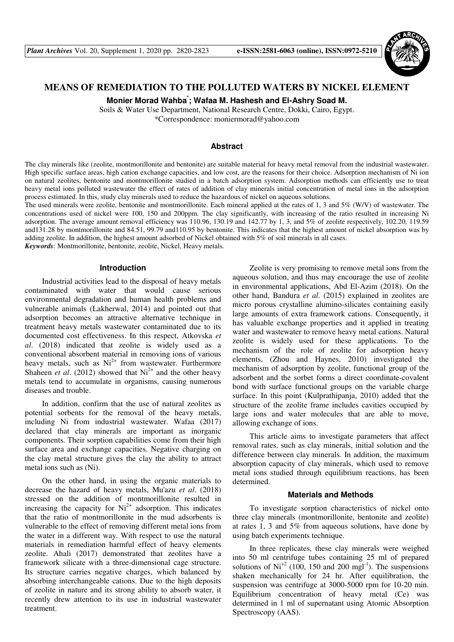

# **MEANS OF REMEDIATION TO THE POLLUTED WATERS BY NICKEL ELEMENT**

**Monier Morad Wahba\* ; Wafaa M. Hashesh and El-Ashry Soad M.** 

Soils & Water Use Department, National Research Centre, Dokki, Cairo, Egypt.

\*Correspondence: moniermorad@yahoo.com

# **Abstract**

The clay minerals like (zeolite, montmorillonite and bentonite) are suitable material for heavy metal removal from the industrial wastewater. High specific surface areas, high cation exchange capacities, and low cost, are the reasons for their choice. Adsorption mechanism of Ni ion on natural zeolites, bentonite and montmorillonite studied in a batch adsorption system. Adsorption methods can efficiently use to treat heavy metal ions polluted wastewater the effect of rates of addition of clay minerals initial concentration of metal ions in the adsorption process estimated. In this, study clay minerals used to reduce the hazardous of nickel on aqueous solutions.

The used minerals were zeolite, bentonite and montmorillonite. Each mineral applied at the rates of 1, 3 and 5% (W/V) of wastewater. The concentrations used of nickel were 100, 150 and 200ppm. The clay significantly, with increasing of the ratio resulted in increasing Ni adsorption. The average amount removal efficiency was 110.96, 130.19 and 142.77 by 1, 3, and 5% of zeolite respectively, 102.20, 119.59 and131.28 by montmorillonite and 84.51, 99.79 and110.95 by bentonite. This indicates that the highest amount of nickel absorption was by adding zeolite. In addition, the highest amount adsorbed of Nickel obtained with 5% of soil minerals in all cases.

*Keywords*: Montmorillonite, bentonite, zeolite, Nickel, Heavy metals.

### **Introduction**

Industrial activities lead to the disposal of heavy metals contaminated with water that would cause serious environmental degradation and human health problems and vulnerable animals (Lakherwal, 2014) and pointed out that adsorption becomes an attractive alternative technique in treatment heavy metals wastewater contaminated due to its documented cost effectiveness. In this respect, Atkovska *et al*. (2018) indicated that zeolite is widely used as a conventional absorbent material in removing ions of various heavy metals, such as  $Ni^{2+}$  from wastewater. Furthermore Shaheen *et al.* (2012) showed that  $Ni^{2+}$  and the other heavy metals tend to accumulate in organisms, causing numerous diseases and trouble.

In addition, confirm that the use of natural zeolites as potential sorbents for the removal of the heavy metals, including Ni from industrial wastewater. Wafaa (2017) declared that clay minerals are important as inorganic components. Their sorption capabilities come from their high surface area and exchange capacities. Negative charging on the clay metal structure gives the clay the ability to attract metal ions such as (Ni).

On the other hand, in using the organic materials to decrease the hazard of heavy metals, Mu'azu *et al*. (2018) stressed on the addition of montmorillonite resulted in increasing the capacity for  $Ni<sup>2+</sup>$  adsorption. This indicates that the ratio of montmorillonite in the mud adsorbents is vulnerable to the effect of removing different metal ions from the water in a different way. With respect to use the natural materials in remediation harmful effect of heavy elements zeolite. Ahali (2017) demonstrated that zeolites have a framework silicate with a three-dimensional cage structure. Its structure carries negative charges, which balanced by absorbing interchangeable cations. Due to the high deposits of zeolite in nature and its strong ability to absorb water, it recently drew attention to its use in industrial wastewater treatment.

Zeolite is very promising to remove metal ions from the aqueous solution, and thus may encourage the use of zeolite in environmental applications, Abd El-Azim (2018). On the other hand, Bandura *et al*. (2015) explained in zeolites are micro porous crystalline alumino-silicates containing easily large amounts of extra framework cations. Consequently, it has valuable exchange properties and it applied in treating water and wastewater to remove heavy metal cations. Natural zeolite is widely used for these applications. To the mechanism of the role of zeolite for adsorption heavy elements, (Zhou and Haynes, 2010) investigated the mechanism of adsorption by zeolite, functional group of the adsorbent and the sorbet forms a direct coordinate-covalent bond with surface functional groups on the variable charge surface. In this point (Kulprathipanja, 2010) added that the structure of the zeolite frame includes cavities occupied by large ions and water molecules that are able to move, allowing exchange of ions.

This article aims to investigate parameters that affect removal rates, such as clay minerals, initial solution and the difference between clay minerals. In addition, the maximum absorption capacity of clay minerals, which used to remove metal ions studied through equilibrium reactions, has been determined.

### **Materials and Methods**

To investigate sorption characteristics of nickel onto three clay minerals (montmorillonite, bentonite and zeolite) at rates 1, 3 and 5% from aqueous solutions, have done by using batch experiments technique.

In three replicates, these clay minerals were weighed into 50 ml centrifuge tubes containing 25 ml of prepared solutions of  $Ni<sup>+2</sup>$  (100, 150 and 200 mgl<sup>-1</sup>). The suspensions shaken mechanically for 24 hr. After equilibration, the suspension was centrifuge at 3000-5000 rpm for 10-20 min. Equilibrium concentration of heavy metal (Ce) was determined in 1 ml of supernatant using Atomic Absorption Spectroscopy (AAS).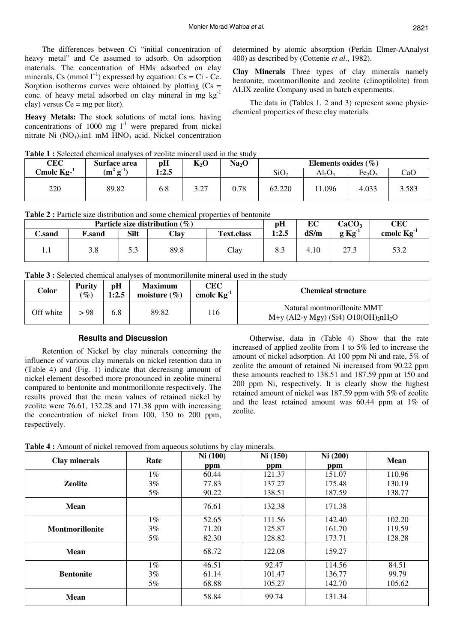The differences between Ci "initial concentration of heavy metal" and Ce assumed to adsorb. On adsorption materials. The concentration of HMs adsorbed on clay minerals, Cs (mmol  $l^{-1}$ ) expressed by equation: Cs = Ci - Ce. Sorption isotherms curves were obtained by plotting  $(Cs =$ conc. of heavy metal adsorbed on clay mineral in mg  $kg^{-1}$ clay) versus  $Ce = mg$  per liter).

**Heavy Metals:** The stock solutions of metal ions, having concentrations of 1000 mg  $1<sup>-1</sup>$  were prepared from nickel nitrate Ni  $(NO<sub>3</sub>)<sub>2</sub>$ in1 mM HNO<sub>3</sub> acid. Nickel concentration

determined by atomic absorption (Perkin Elmer-AAnalyst 400) as described by (Cottenie *et al*., 1982).

**Clay Minerals** Three types of clay minerals namely bentonite, montmorillonite and zeolite (clinoptilolite) from ALIX zeolite Company used in batch experiments.

The data in (Tables 1, 2 and 3) represent some physicchemical properties of these clay materials.

|  |  |  |  |  |  | <b>Table 1:</b> Selected chemical analyses of zeolite mineral used in the study |  |
|--|--|--|--|--|--|---------------------------------------------------------------------------------|--|
|--|--|--|--|--|--|---------------------------------------------------------------------------------|--|

| CEC          | Surface area          | pH    | $K_2O$              | Na <sub>2</sub> O | Elements oxides $(\% )$ |        |                                |       |
|--------------|-----------------------|-------|---------------------|-------------------|-------------------------|--------|--------------------------------|-------|
| Cmolc $Kg-1$ | $(m^2 g^{\text{-}1})$ | 1:2.5 |                     |                   | SiO <sub>2</sub>        | Al2O2  | Fe <sub>2</sub> O <sub>3</sub> | CaO   |
| 220          | 89.82                 | 6.8   | $\gamma$<br>ا ہے، پ | 0.78              | 62.220                  | 11.096 | 4.033                          | 3.583 |

**Table 2 :** Particle size distribution and some chemical properties of bentonite

|                            |               |             | Particle size distribution $(\%)$ |                   | рH    | EC   | CaCO <sub>3</sub> | CEC             |
|----------------------------|---------------|-------------|-----------------------------------|-------------------|-------|------|-------------------|-----------------|
| $\mathbb{C}.\mathbf{sand}$ | <b>F.sand</b> | <b>Silt</b> | Clay                              | <b>Text.class</b> | 1:2.5 | dS/m | $g Kg^{-1}$       | cmolc $Kg^{-1}$ |
| 1.1                        | 3.8           | ر.ر         | 89.8                              | Clay              | 8.3   | 4.10 | 27.3              | 53.2            |

|  | <b>Table 3:</b> Selected chemical analyses of montmorillonite mineral used in the study |  |  |  |  |
|--|-----------------------------------------------------------------------------------------|--|--|--|--|
|--|-----------------------------------------------------------------------------------------|--|--|--|--|

| Color     | <b>Purity</b><br>$\mathcal{O}_\mathcal{O}$ | pH<br>1:2.5 | <b>Maximum</b><br>moisture $(\% )$ | <b>CEC</b><br>cmolc $Kg^{-1}$ | <b>Chemical structure</b>                                                                   |
|-----------|--------------------------------------------|-------------|------------------------------------|-------------------------------|---------------------------------------------------------------------------------------------|
| Off white | > 98                                       | 6.8         | 89.82                              | 116                           | Natural montmorillonite MMT<br>M+y (Al2-y Mgy) (Si4) O10(OH) <sub>2</sub> nH <sub>2</sub> O |

## **Results and Discussion**

Retention of Nickel by clay minerals concerning the influence of various clay minerals on nickel retention data in (Table 4) and (Fig. 1) indicate that decreasing amount of nickel element desorbed more pronounced in zeolite mineral compared to bentonite and montmorillonite respectively. The results proved that the mean values of retained nickel by zeolite were 76.61, 132.28 and 171.38 ppm with increasing the concentration of nickel from 100, 150 to 200 ppm, respectively.

Otherwise, data in (Table 4) Show that the rate increased of applied zeolite from 1 to 5% led to increase the amount of nickel adsorption. At 100 ppm Ni and rate, 5% of zeolite the amount of retained Ni increased from 90.22 ppm these amounts reached to 138.51 and 187.59 ppm at 150 and 200 ppm Ni, respectively. It is clearly show the highest retained amount of nickel was 187.59 ppm with 5% of zeolite and the least retained amount was 60.44 ppm at 1% of zeolite.

**Table 4 :** Amount of nickel removed from aqueous solutions by clay minerals.

| Clay minerals          | Rate  | Ni(100) | Ni(150) | Ni (200) | <b>Mean</b> |
|------------------------|-------|---------|---------|----------|-------------|
|                        |       | ppm     | ppm     | ppm      |             |
|                        | $1\%$ | 60.44   | 121.37  | 151.07   | 110.96      |
| <b>Zeolite</b>         | $3\%$ | 77.83   | 137.27  | 175.48   | 130.19      |
|                        | 5%    | 90.22   | 138.51  | 187.59   | 138.77      |
| <b>Mean</b>            |       | 76.61   | 132.38  | 171.38   |             |
|                        | $1\%$ | 52.65   | 111.56  | 142.40   | 102.20      |
| <b>Montmorillonite</b> | $3\%$ | 71.20   | 125.87  | 161.70   | 119.59      |
|                        | 5%    | 82.30   | 128.82  | 173.71   | 128.28      |
| <b>Mean</b>            |       | 68.72   | 122.08  | 159.27   |             |
|                        | $1\%$ | 46.51   | 92.47   | 114.56   | 84.51       |
| <b>Bentonite</b>       | $3\%$ | 61.14   | 101.47  | 136.77   | 99.79       |
|                        | 5%    | 68.88   | 105.27  | 142.70   | 105.62      |
| <b>Mean</b>            |       | 58.84   | 99.74   | 131.34   |             |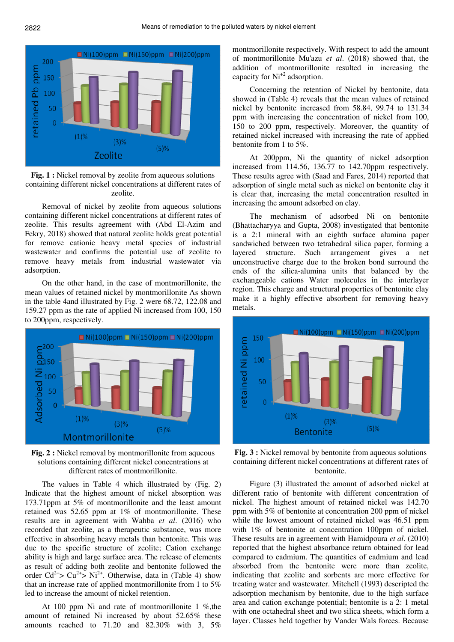



Removal of nickel by zeolite from aqueous solutions containing different nickel concentrations at different rates of zeolite. This results agreement with (Abd El-Azim and Fekry, 2018) showed that natural zeolite holds great potential for remove cationic heavy metal species of industrial wastewater and confirms the potential use of zeolite to remove heavy metals from industrial wastewater via adsorption.

On the other hand, in the case of montmorillonite, the mean values of retained nickel by montmorillonite As shown in the table 4and illustrated by Fig. 2 were 68.72, 122.08 and 159.27 ppm as the rate of applied Ni increased from 100, 150 to 200ppm, respectively.



**Fig. 2 :** Nickel removal by montmorillonite from aqueous solutions containing different nickel concentrations at different rates of montmorillonite.

The values in Table 4 which illustrated by (Fig. 2) Indicate that the highest amount of nickel absorption was 173.71ppm at 5% of montmorillonite and the least amount retained was 52.65 ppm at 1% of montmorillonite. These results are in agreement with Wahba *et al*. (2016) who recorded that zeolite, as a therapeutic substance, was more effective in absorbing heavy metals than bentonite. This was due to the specific structure of zeolite; Cation exchange ability is high and large surface area. The release of elements as result of adding both zeolite and bentonite followed the order  $Cd^{2+} > Cu^{2+} > Ni^{2+}$ . Otherwise, data in (Table 4) show that an increase rate of applied montmorillonite from 1 to 5% led to increase the amount of nickel retention.

At 100 ppm Ni and rate of montmorillonite 1 %,the amount of retained Ni increased by about 52.65% these amounts reached to 71.20 and 82.30% with 3, 5%

montmorillonite respectively. With respect to add the amount of montmorillonite Mu'azu *et al*. (2018) showed that, the addition of montmorillonite resulted in increasing the capacity for  $Ni<sup>+2</sup>$  adsorption.

Concerning the retention of Nickel by bentonite, data showed in (Table 4) reveals that the mean values of retained nickel by bentonite increased from 58.84, 99.74 to 131.34 ppm with increasing the concentration of nickel from 100, 150 to 200 ppm, respectively. Moreover, the quantity of retained nickel increased with increasing the rate of applied bentonite from 1 to 5%.

At 200ppm, Ni the quantity of nickel adsorption increased from 114.56, 136.77 to 142.70ppm respectively. These results agree with (Saad and Fares, 2014) reported that adsorption of single metal such as nickel on bentonite clay it is clear that, increasing the metal concentration resulted in increasing the amount adsorbed on clay.

The mechanism of adsorbed Ni on bentonite (Bhattacharyya and Gupta, 2008) investigated that bentonite is a 2:1 mineral with an eighth surface alumina paper sandwiched between two tetrahedral silica paper, forming a layered structure. Such arrangement gives a net unconstructive charge due to the broken bond surround the ends of the silica-alumina units that balanced by the exchangeable cations Water molecules in the interlayer region. This charge and structural properties of bentonite clay make it a highly effective absorbent for removing heavy metals.



**Fig. 3 :** Nickel removal by bentonite from aqueous solutions containing different nickel concentrations at different rates of bentonite.

Figure (3) illustrated the amount of adsorbed nickel at different ratio of bentonite with different concentration of nickel. The highest amount of retained nickel was 142.70 ppm with 5% of bentonite at concentration 200 ppm of nickel while the lowest amount of retained nickel was 46.51 ppm with 1% of bentonite at concentration 100ppm of nickel. These results are in agreement with Hamidpoura *et al*. (2010) reported that the highest absorbance return obtained for lead compared to cadmium. The quantities of cadmium and lead absorbed from the bentonite were more than zeolite, indicating that zeolite and sorbents are more effective for treating water and wastewater. Mitchell (1993) descripted the adsorption mechanism by bentonite, due to the high surface area and cation exchange potential; bentonite is a 2: 1 metal with one octahedral sheet and two silica sheets, which form a layer. Classes held together by Vander Wals forces. Because